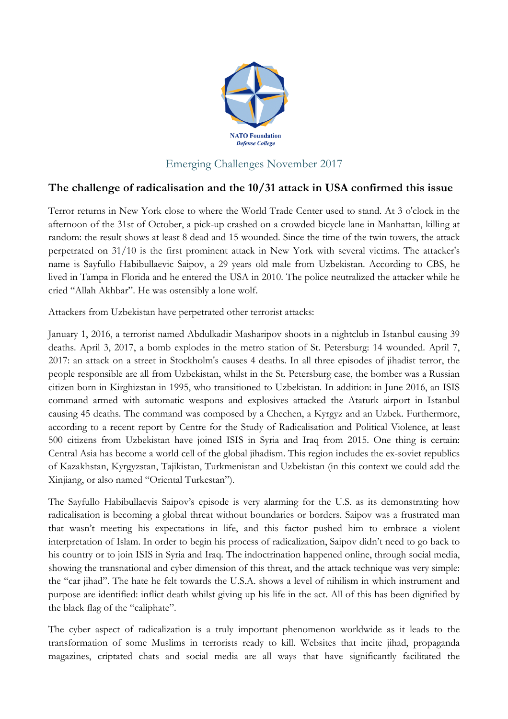

## Emerging Challenges November 2017

## **The challenge of radicalisation and the 10/31 attack in USA confirmed this issue**

Terror returns in New York close to where the World Trade Center used to stand. At 3 o'clock in the afternoon of the 31st of October, a pick-up crashed on a crowded bicycle lane in Manhattan, killing at random: the result shows at least 8 dead and 15 wounded. Since the time of the twin towers, the attack perpetrated on 31/10 is the first prominent attack in New York with several victims. The attacker's name is Sayfullo Habibullaevic Saipov, a 29 years old male from Uzbekistan. According to CBS, he lived in Tampa in Florida and he entered the USA in 2010. The police neutralized the attacker while he cried "Allah Akhbar". He was ostensibly a lone wolf.

Attackers from Uzbekistan have perpetrated other terrorist attacks:

January 1, 2016, a terrorist named Abdulkadir Masharipov shoots in a nightclub in Istanbul causing 39 deaths. April 3, 2017, a bomb explodes in the metro station of St. Petersburg: 14 wounded. April 7, 2017: an attack on a street in Stockholm's causes 4 deaths. In all three episodes of jihadist terror, the people responsible are all from Uzbekistan, whilst in the St. Petersburg case, the bomber was a Russian citizen born in Kirghizstan in 1995, who transitioned to Uzbekistan. In addition: in June 2016, an ISIS command armed with automatic weapons and explosives attacked the Ataturk airport in Istanbul causing 45 deaths. The command was composed by a Chechen, a Kyrgyz and an Uzbek. Furthermore, according to a recent report by Centre for the Study of Radicalisation and Political Violence, at least 500 citizens from Uzbekistan have joined ISIS in Syria and Iraq from 2015. One thing is certain: Central Asia has become a world cell of the global jihadism. This region includes the ex-soviet republics of Kazakhstan, Kyrgyzstan, Tajikistan, Turkmenistan and Uzbekistan (in this context we could add the Xinjiang, or also named "Oriental Turkestan").

The Sayfullo Habibullaevis Saipov's episode is very alarming for the U.S. as its demonstrating how radicalisation is becoming a global threat without boundaries or borders. Saipov was a frustrated man that wasn't meeting his expectations in life, and this factor pushed him to embrace a violent interpretation of Islam. In order to begin his process of radicalization, Saipov didn't need to go back to his country or to join ISIS in Syria and Iraq. The indoctrination happened online, through social media, showing the transnational and cyber dimension of this threat, and the attack technique was very simple: the "car jihad". The hate he felt towards the U.S.A. shows a level of nihilism in which instrument and purpose are identified: inflict death whilst giving up his life in the act. All of this has been dignified by the black flag of the "caliphate".

The cyber aspect of radicalization is a truly important phenomenon worldwide as it leads to the transformation of some Muslims in terrorists ready to kill. Websites that incite jihad, propaganda magazines, criptated chats and social media are all ways that have significantly facilitated the